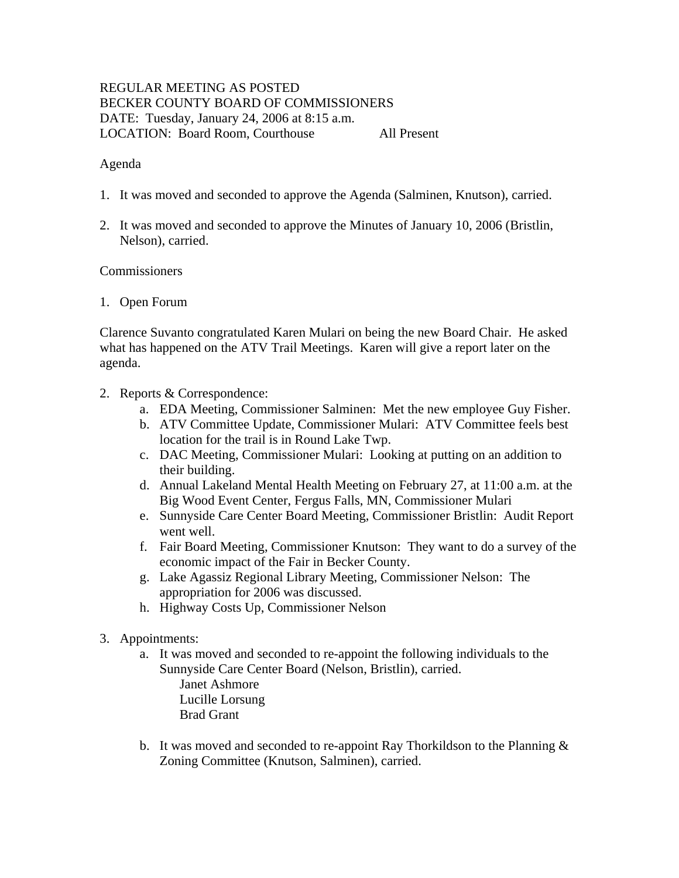# REGULAR MEETING AS POSTED BECKER COUNTY BOARD OF COMMISSIONERS DATE: Tuesday, January 24, 2006 at 8:15 a.m. LOCATION: Board Room, Courthouse All Present

### Agenda

- 1. It was moved and seconded to approve the Agenda (Salminen, Knutson), carried.
- 2. It was moved and seconded to approve the Minutes of January 10, 2006 (Bristlin, Nelson), carried.

### **Commissioners**

#### 1. Open Forum

Clarence Suvanto congratulated Karen Mulari on being the new Board Chair. He asked what has happened on the ATV Trail Meetings. Karen will give a report later on the agenda.

- 2. Reports & Correspondence:
	- a. EDA Meeting, Commissioner Salminen: Met the new employee Guy Fisher.
	- b. ATV Committee Update, Commissioner Mulari: ATV Committee feels best location for the trail is in Round Lake Twp.
	- c. DAC Meeting, Commissioner Mulari: Looking at putting on an addition to their building.
	- d. Annual Lakeland Mental Health Meeting on February 27, at 11:00 a.m. at the Big Wood Event Center, Fergus Falls, MN, Commissioner Mulari
	- e. Sunnyside Care Center Board Meeting, Commissioner Bristlin: Audit Report went well.
	- f. Fair Board Meeting, Commissioner Knutson: They want to do a survey of the economic impact of the Fair in Becker County.
	- g. Lake Agassiz Regional Library Meeting, Commissioner Nelson: The appropriation for 2006 was discussed.
	- h. Highway Costs Up, Commissioner Nelson
- 3. Appointments:
	- a. It was moved and seconded to re-appoint the following individuals to the Sunnyside Care Center Board (Nelson, Bristlin), carried. Janet Ashmore Lucille Lorsung Brad Grant
	- b. It was moved and seconded to re-appoint Ray Thorkildson to the Planning  $\&$ Zoning Committee (Knutson, Salminen), carried.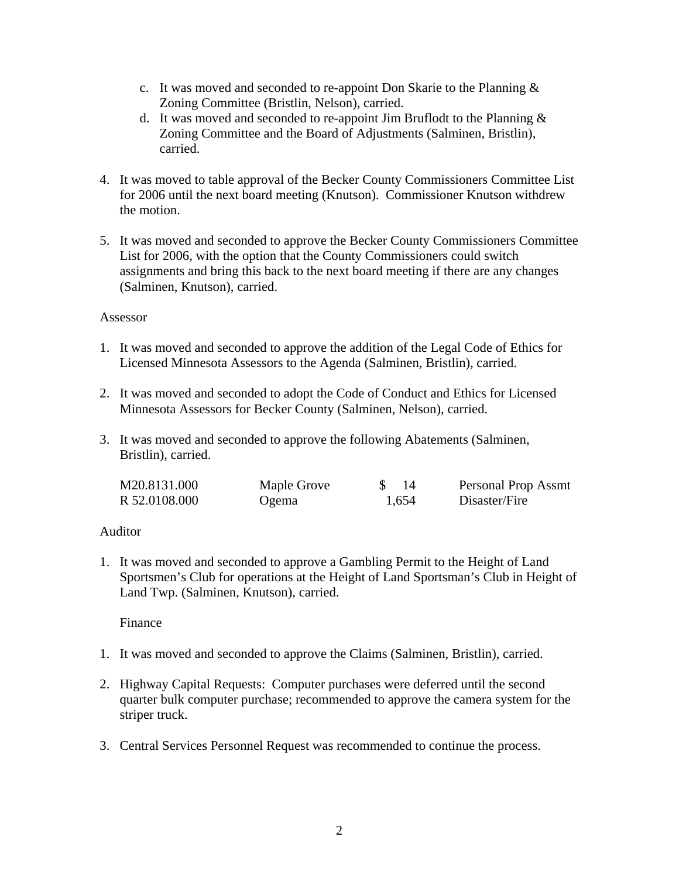- c. It was moved and seconded to re-appoint Don Skarie to the Planning & Zoning Committee (Bristlin, Nelson), carried.
- d. It was moved and seconded to re-appoint Jim Bruflodt to the Planning  $\&$ Zoning Committee and the Board of Adjustments (Salminen, Bristlin), carried.
- 4. It was moved to table approval of the Becker County Commissioners Committee List for 2006 until the next board meeting (Knutson). Commissioner Knutson withdrew the motion.
- 5. It was moved and seconded to approve the Becker County Commissioners Committee List for 2006, with the option that the County Commissioners could switch assignments and bring this back to the next board meeting if there are any changes (Salminen, Knutson), carried.

### Assessor

- 1. It was moved and seconded to approve the addition of the Legal Code of Ethics for Licensed Minnesota Assessors to the Agenda (Salminen, Bristlin), carried.
- 2. It was moved and seconded to adopt the Code of Conduct and Ethics for Licensed Minnesota Assessors for Becker County (Salminen, Nelson), carried.
- 3. It was moved and seconded to approve the following Abatements (Salminen, Bristlin), carried.

| M20.8131.000  | Maple Grove | -14   | Personal Prop Assmt |
|---------------|-------------|-------|---------------------|
| R 52.0108.000 | Ogema       | 1,654 | Disaster/Fire       |

### Auditor

1. It was moved and seconded to approve a Gambling Permit to the Height of Land Sportsmen's Club for operations at the Height of Land Sportsman's Club in Height of Land Twp. (Salminen, Knutson), carried.

Finance

- 1. It was moved and seconded to approve the Claims (Salminen, Bristlin), carried.
- 2. Highway Capital Requests: Computer purchases were deferred until the second quarter bulk computer purchase; recommended to approve the camera system for the striper truck.
- 3. Central Services Personnel Request was recommended to continue the process.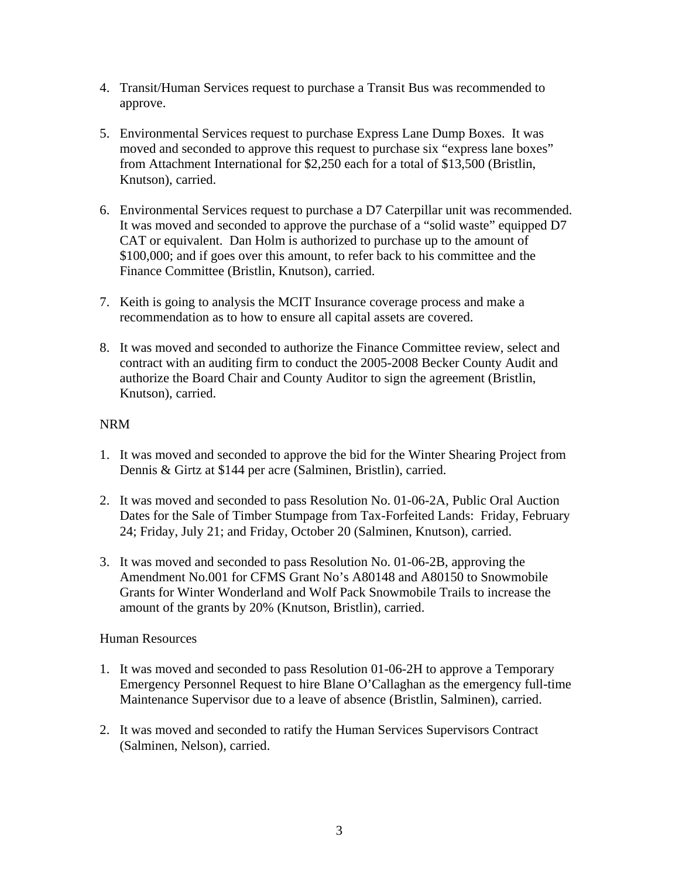- 4. Transit/Human Services request to purchase a Transit Bus was recommended to approve.
- 5. Environmental Services request to purchase Express Lane Dump Boxes. It was moved and seconded to approve this request to purchase six "express lane boxes" from Attachment International for \$2,250 each for a total of \$13,500 (Bristlin, Knutson), carried.
- 6. Environmental Services request to purchase a D7 Caterpillar unit was recommended. It was moved and seconded to approve the purchase of a "solid waste" equipped D7 CAT or equivalent. Dan Holm is authorized to purchase up to the amount of \$100,000; and if goes over this amount, to refer back to his committee and the Finance Committee (Bristlin, Knutson), carried.
- 7. Keith is going to analysis the MCIT Insurance coverage process and make a recommendation as to how to ensure all capital assets are covered.
- 8. It was moved and seconded to authorize the Finance Committee review, select and contract with an auditing firm to conduct the 2005-2008 Becker County Audit and authorize the Board Chair and County Auditor to sign the agreement (Bristlin, Knutson), carried.

### NRM

- 1. It was moved and seconded to approve the bid for the Winter Shearing Project from Dennis & Girtz at \$144 per acre (Salminen, Bristlin), carried.
- 2. It was moved and seconded to pass Resolution No. 01-06-2A, Public Oral Auction Dates for the Sale of Timber Stumpage from Tax-Forfeited Lands: Friday, February 24; Friday, July 21; and Friday, October 20 (Salminen, Knutson), carried.
- 3. It was moved and seconded to pass Resolution No. 01-06-2B, approving the Amendment No.001 for CFMS Grant No's A80148 and A80150 to Snowmobile Grants for Winter Wonderland and Wolf Pack Snowmobile Trails to increase the amount of the grants by 20% (Knutson, Bristlin), carried.

# Human Resources

- 1. It was moved and seconded to pass Resolution 01-06-2H to approve a Temporary Emergency Personnel Request to hire Blane O'Callaghan as the emergency full-time Maintenance Supervisor due to a leave of absence (Bristlin, Salminen), carried.
- 2. It was moved and seconded to ratify the Human Services Supervisors Contract (Salminen, Nelson), carried.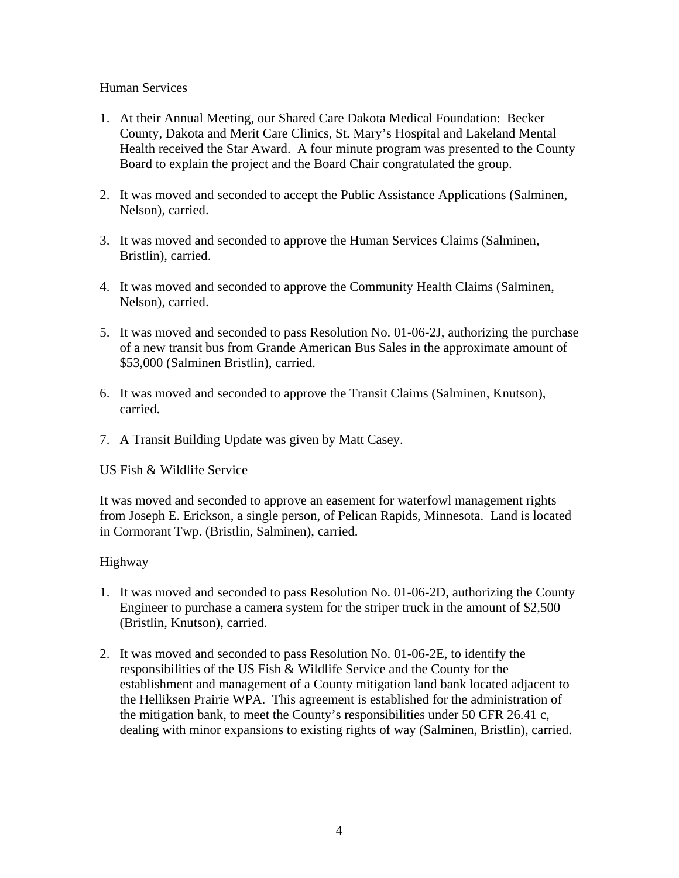## Human Services

- 1. At their Annual Meeting, our Shared Care Dakota Medical Foundation: Becker County, Dakota and Merit Care Clinics, St. Mary's Hospital and Lakeland Mental Health received the Star Award. A four minute program was presented to the County Board to explain the project and the Board Chair congratulated the group.
- 2. It was moved and seconded to accept the Public Assistance Applications (Salminen, Nelson), carried.
- 3. It was moved and seconded to approve the Human Services Claims (Salminen, Bristlin), carried.
- 4. It was moved and seconded to approve the Community Health Claims (Salminen, Nelson), carried.
- 5. It was moved and seconded to pass Resolution No. 01-06-2J, authorizing the purchase of a new transit bus from Grande American Bus Sales in the approximate amount of \$53,000 (Salminen Bristlin), carried.
- 6. It was moved and seconded to approve the Transit Claims (Salminen, Knutson), carried.
- 7. A Transit Building Update was given by Matt Casey.

US Fish & Wildlife Service

It was moved and seconded to approve an easement for waterfowl management rights from Joseph E. Erickson, a single person, of Pelican Rapids, Minnesota. Land is located in Cormorant Twp. (Bristlin, Salminen), carried.

# Highway

- 1. It was moved and seconded to pass Resolution No. 01-06-2D, authorizing the County Engineer to purchase a camera system for the striper truck in the amount of \$2,500 (Bristlin, Knutson), carried.
- 2. It was moved and seconded to pass Resolution No. 01-06-2E, to identify the responsibilities of the US Fish & Wildlife Service and the County for the establishment and management of a County mitigation land bank located adjacent to the Helliksen Prairie WPA. This agreement is established for the administration of the mitigation bank, to meet the County's responsibilities under 50 CFR 26.41 c, dealing with minor expansions to existing rights of way (Salminen, Bristlin), carried.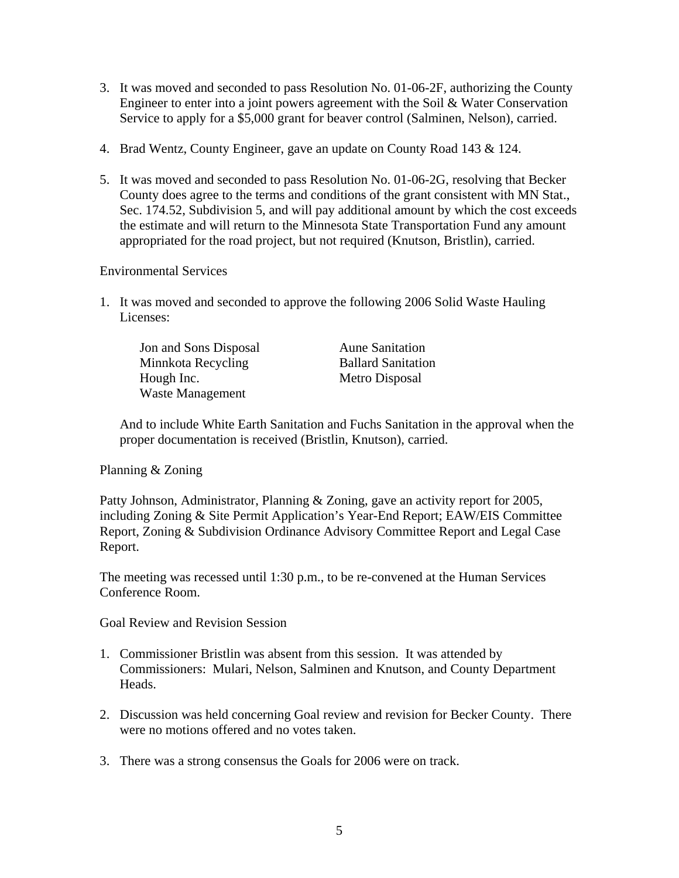- 3. It was moved and seconded to pass Resolution No. 01-06-2F, authorizing the County Engineer to enter into a joint powers agreement with the Soil & Water Conservation Service to apply for a \$5,000 grant for beaver control (Salminen, Nelson), carried.
- 4. Brad Wentz, County Engineer, gave an update on County Road 143 & 124.
- 5. It was moved and seconded to pass Resolution No. 01-06-2G, resolving that Becker County does agree to the terms and conditions of the grant consistent with MN Stat., Sec. 174.52, Subdivision 5, and will pay additional amount by which the cost exceeds the estimate and will return to the Minnesota State Transportation Fund any amount appropriated for the road project, but not required (Knutson, Bristlin), carried.

### Environmental Services

1. It was moved and seconded to approve the following 2006 Solid Waste Hauling Licenses:

| Jon and Sons Disposal   | <b>Aune Sanitation</b>    |
|-------------------------|---------------------------|
| Minnkota Recycling      | <b>Ballard Sanitation</b> |
| Hough Inc.              | Metro Disposal            |
| <b>Waste Management</b> |                           |

And to include White Earth Sanitation and Fuchs Sanitation in the approval when the proper documentation is received (Bristlin, Knutson), carried.

### Planning & Zoning

Patty Johnson, Administrator, Planning & Zoning, gave an activity report for 2005, including Zoning & Site Permit Application's Year-End Report; EAW/EIS Committee Report, Zoning & Subdivision Ordinance Advisory Committee Report and Legal Case Report.

The meeting was recessed until 1:30 p.m., to be re-convened at the Human Services Conference Room.

Goal Review and Revision Session

- 1. Commissioner Bristlin was absent from this session. It was attended by Commissioners: Mulari, Nelson, Salminen and Knutson, and County Department Heads.
- 2. Discussion was held concerning Goal review and revision for Becker County. There were no motions offered and no votes taken.
- 3. There was a strong consensus the Goals for 2006 were on track.